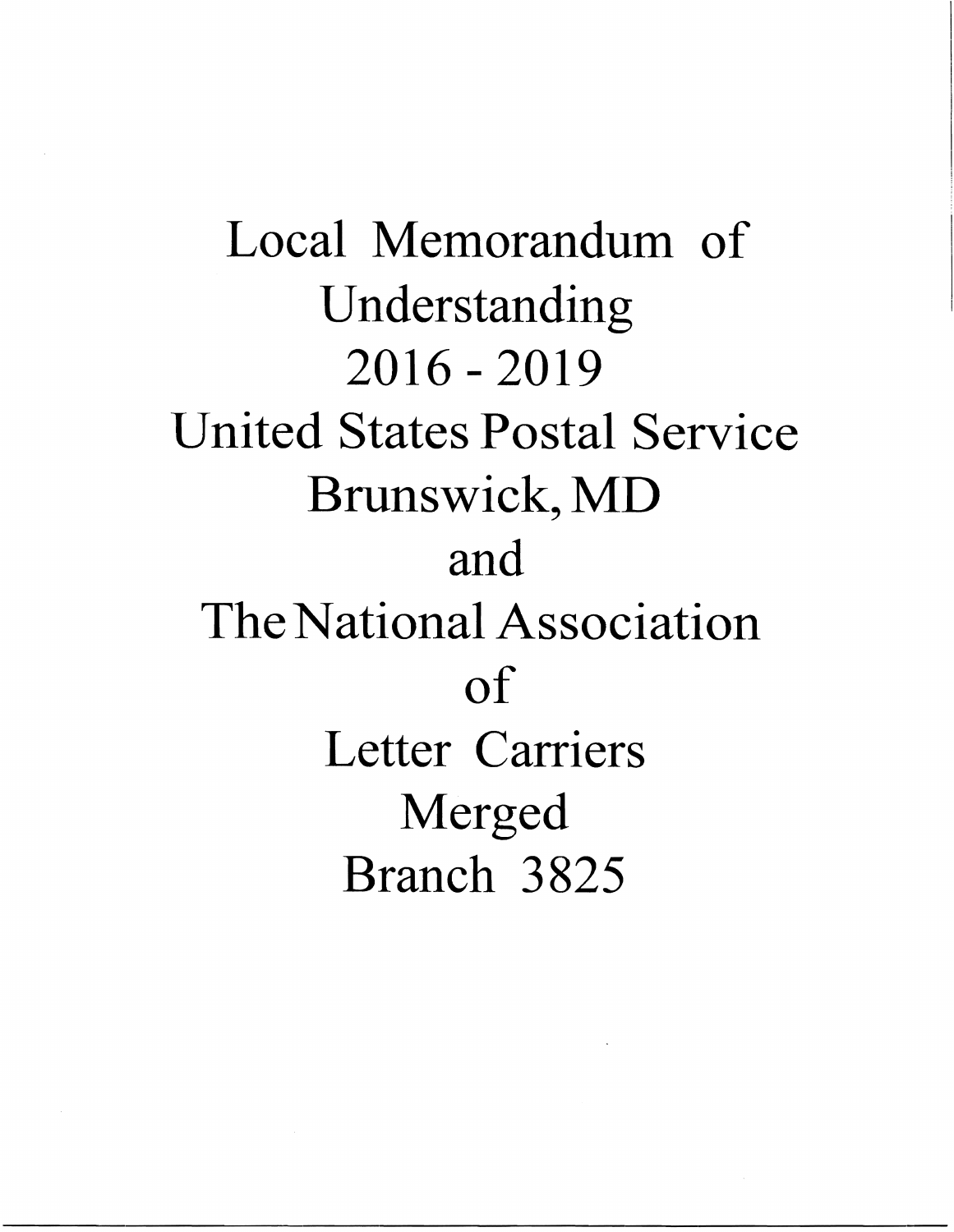Local Memorandum of Understanding 2016 - 2019 United States Postal Service Brunswick, MD and The National Association of Letter Carriers Merged Branch 3825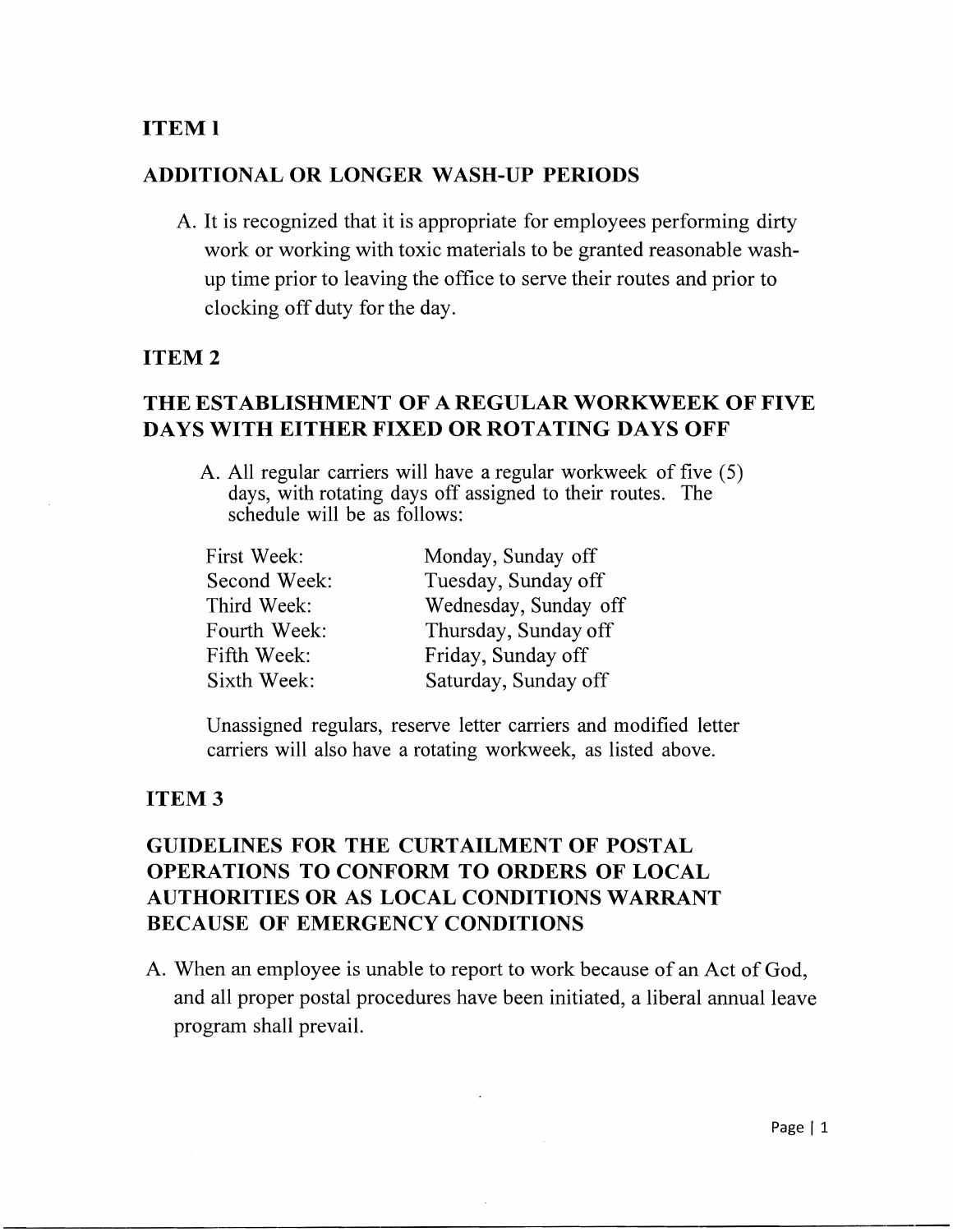## ITEMl

### ADDITIONAL OR LONGER WASH-UP PERIODS

A. It is recognized that it is appropriate for employees performing dirty work or working with toxic materials to be granted reasonable washup time prior to leaving the office to serve their routes and prior to clocking off duty for the day.

#### ITEM 2

## THE ESTABLISHMENT OF A REGULAR WORKWEEK OF FIVE DAYS WITH EITHER FIXED OR ROTATING DAYS OFF

A. All regular carriers will have a regular workweek of five (5) days, with rotating days off assigned to their routes. The schedule will be as follows:

| First Week:  | Monday, Sunday off    |
|--------------|-----------------------|
| Second Week: | Tuesday, Sunday off   |
| Third Week:  | Wednesday, Sunday off |
| Fourth Week: | Thursday, Sunday off  |
| Fifth Week:  | Friday, Sunday off    |
| Sixth Week:  | Saturday, Sunday off  |

Unassigned regulars, reserve letter carriers and modified letter carriers will also have a rotating workweek, as listed above.

### ITEM 3

# GUIDELINES FOR THE CURTAILMENT OF POSTAL OPERATIONS TO CONFORM TO ORDERS OF LOCAL AUTHORITIES OR AS LOCAL CONDITIONS WARRANT BECAUSE OF EMERGENCY CONDITIONS

A. When an employee is unable to report to work because of an Act of God, and all proper postal procedures have been initiated, a liberal annual leave program shall prevail.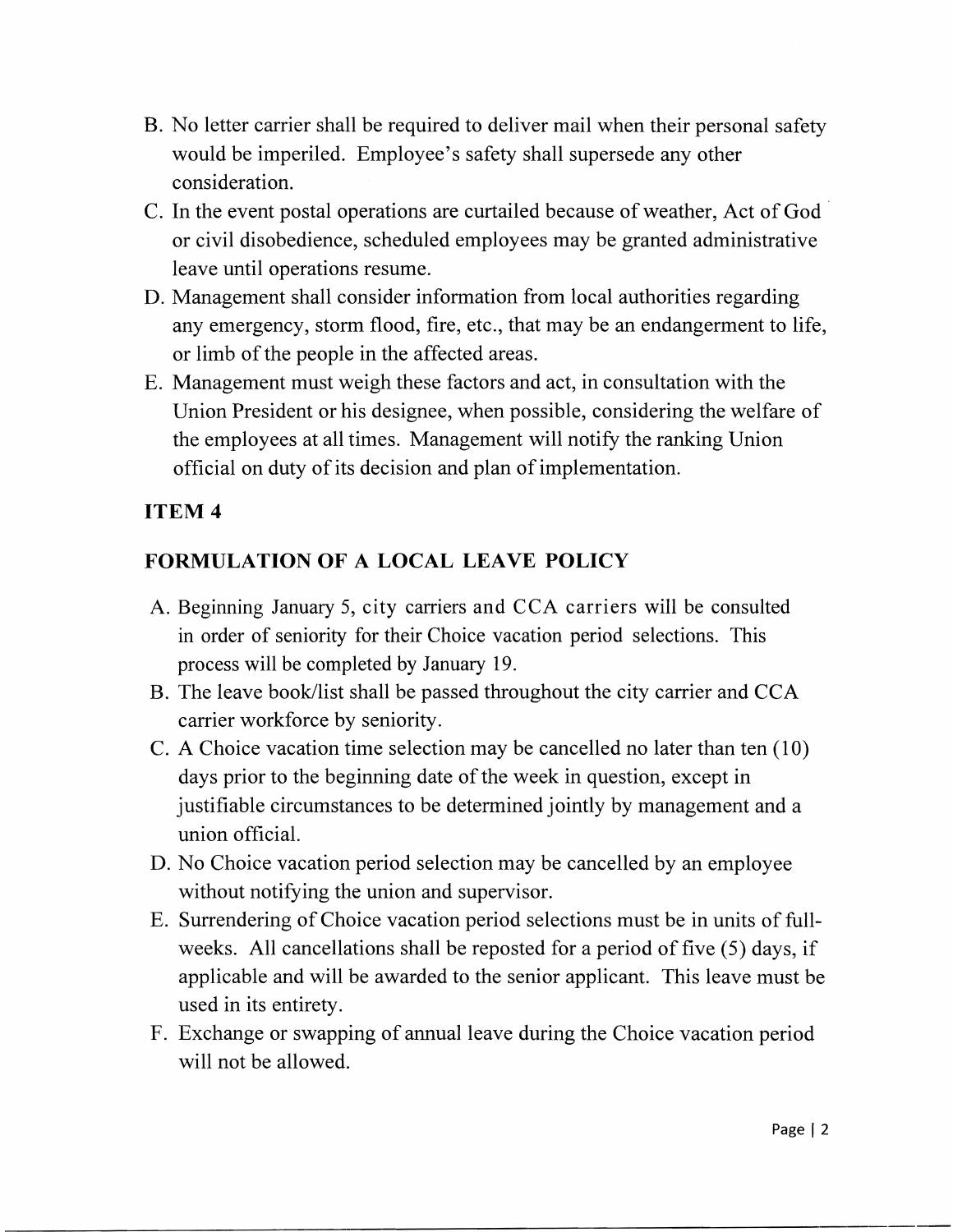- B. No letter carrier shall be required to deliver mail when their personal safety would be imperiled. Employee's safety shall supersede any other consideration.
- C. In the event postal operations are curtailed because of weather, Act of God or civil disobedience, scheduled employees may be granted administrative leave until operations resume.
- D. Management shall consider information from local authorities regarding any emergency, storm flood, fire, etc., that may be an endangerment to life, or limb of the people in the affected areas.
- E. Management must weigh these factors and act, in consultation with the Union President or his designee, when possible, considering the welfare of the employees at all times. Management will notify the ranking Union official on duty of its decision and plan of implementation.

# FORMULATION OF **A LOCAL LEAVE POLICY**

- A. Beginning January 5, city carriers and CCA carriers will be consulted in order of seniority for their Choice vacation period selections. This process will be completed by January 19.
- B. The leave book/list shall be passed throughout the city carrier and CCA carrier workforce by seniority.
- C. A Choice vacation time selection may be cancelled no later than ten (10) days prior to the beginning date of the week in question, except in justifiable circumstances to be determined jointly by management and a union official.
- D. No Choice vacation period selection may be cancelled by an employee without notifying the union and supervisor.
- E. Surrendering of Choice vacation period selections must be in units of fullweeks. All cancellations shall be reposted for a period of five (5) days, if applicable and will be awarded to the senior applicant. This leave must be used in its entirety.
- F. Exchange or swapping of annual leave during the Choice vacation period will not be allowed.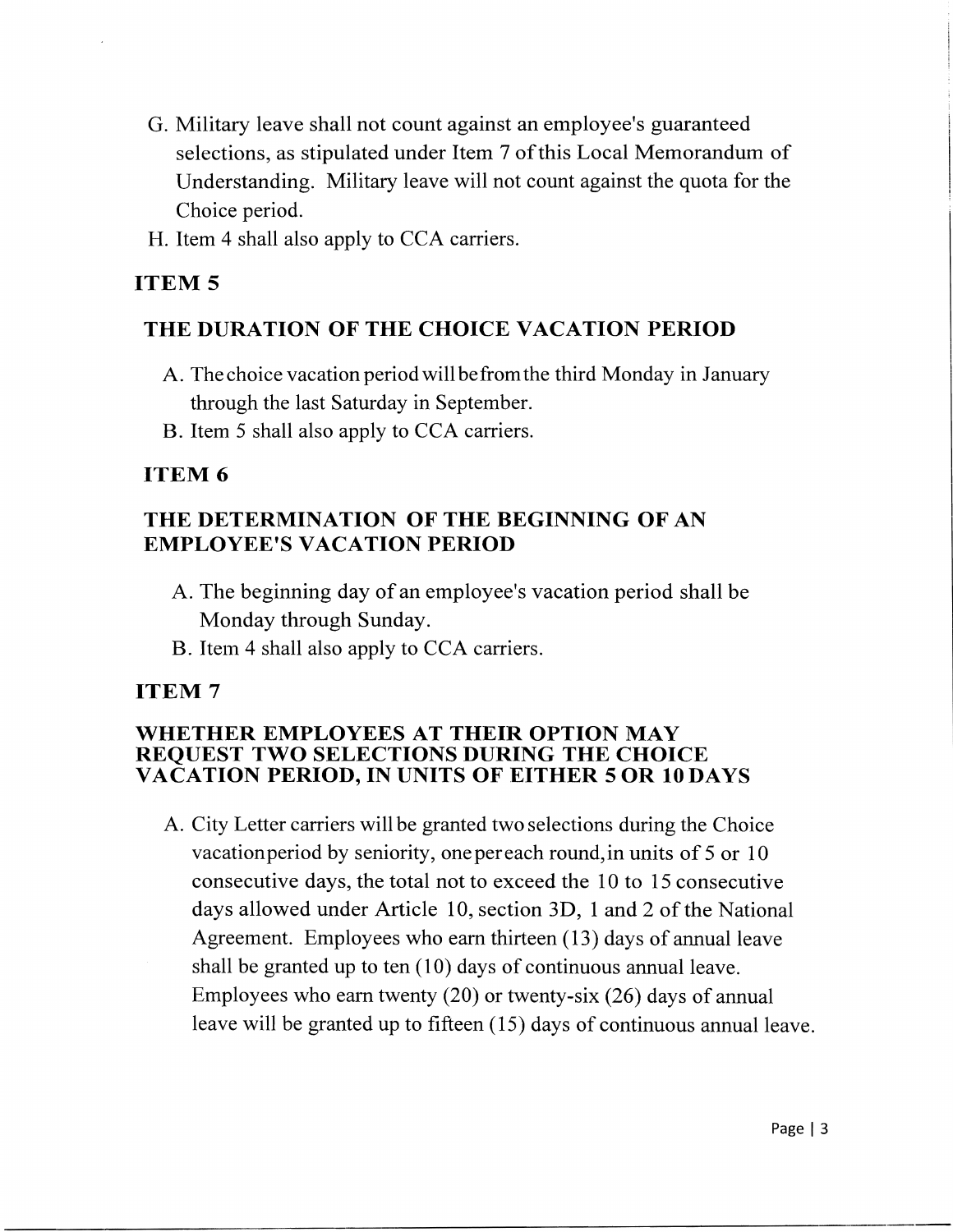- G. Military leave shall not count against an employee's guaranteed selections, as stipulated under Item 7 of this Local Memorandum of Understanding. Military leave will not count against the quota for the Choice period.
- H. Item 4 shall also apply to CCA carriers.

# **ITEM<sub>5</sub>**

## THE DURATION OF THE CHOICE VACATION PERIOD

- A. The choice vacation period will be from the third Monday in January through the last Saturday in September.
- B. Item 5 shall also apply to CCA carriers.

# ITEM 6

# THE DETERMINATION OF THE BEGINNING OF AN EMPLOYEE'S VACATION PERIOD

- A. The beginning day of an employee's vacation period shall be Monday through Sunday.
- B. Item 4 shall also apply to CCA carriers.

# ITEM 7

### WHETHER EMPLOYEES AT THEIR OPTION MAY REQUEST TWO SELECTIONS DURING THE CHOICE VACATION PERIOD, IN UNITS OF EITHER 50R 10 DAYS

A. City Letter carriers will be granted two selections during the Choice vacationperiod by seniority, one per each round,in units of 5 or 10 consecutive days, the total not to exceed the 10 to 15 consecutive days allowed under Article 10, section 3D, 1 and 2 of the National Agreement. Employees who earn thirteen (13) days of annual leave shall be granted up to ten (10) days of continuous annual leave. Employees who earn twenty (20) or twenty-six (26) days of annual leave will be granted up to fifteen (15) days of continuous annual leave.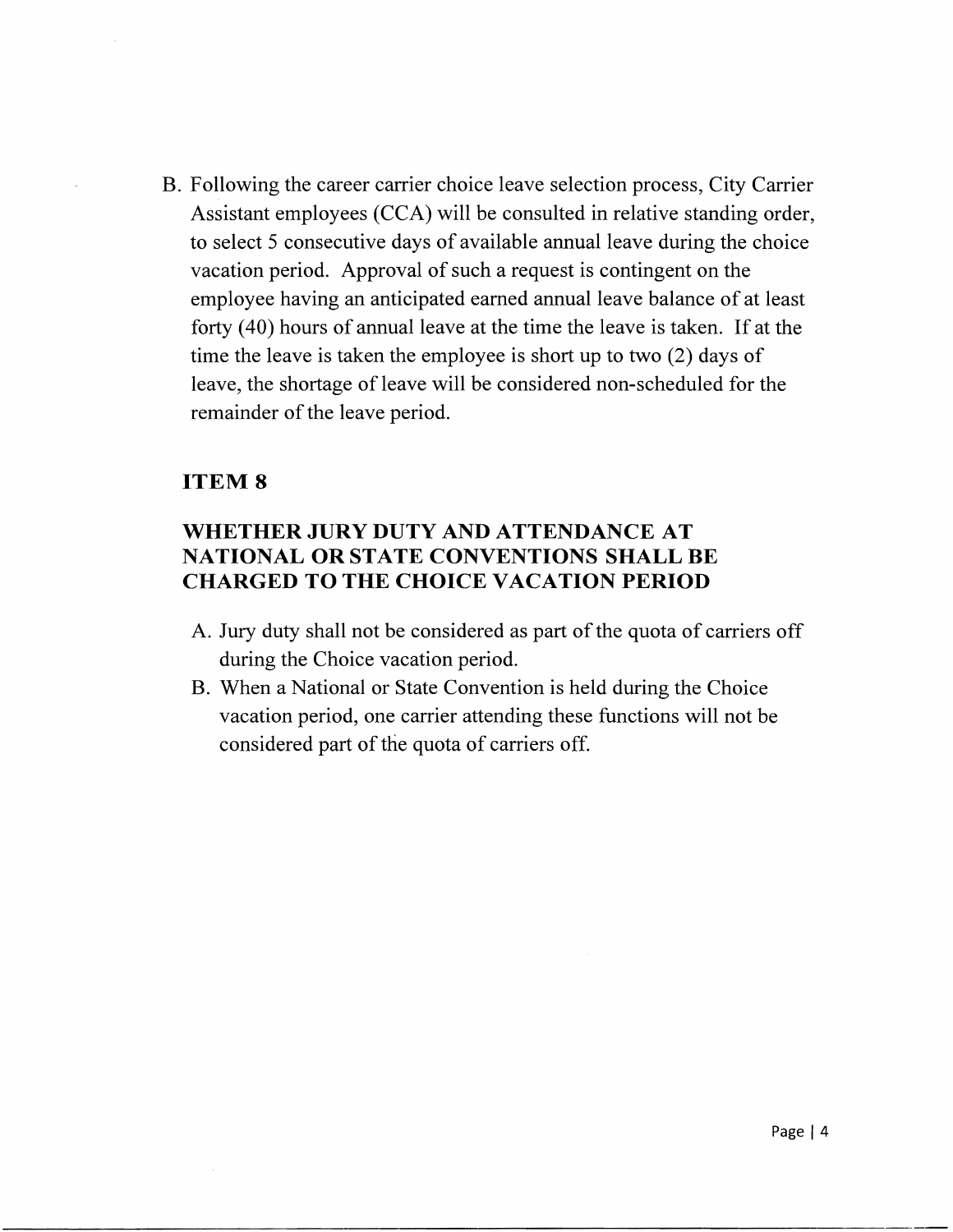B. Following the career carrier choice leave selection process, City Carrier Assistant employees (CCA) will be consulted in relative standing order, to select 5 consecutive days of available annual leave during the choice vacation period. Approval of such a request is contingent on the employee having an anticipated earned annual leave balance of at least forty (40) hours of annual leave at the time the leave is taken. If at the time the leave is taken the employee is short up to two (2) days of leave, the shortage of leave will be considered non-scheduled for the remainder of the leave period.

### ITEM 8

## WHETHER JURY DUTY AND ATTENDANCE AT NATIONAL OR STATE CONVENTIONS SHALL BE CHARGED TO THE CHOICE VACATION PERIOD

- A. Jury duty shall not be considered as part of the quota of carriers off during the Choice vacation period.
- B. When a National or State Convention is held during the Choice vacation period, one carrier attending these functions will not be considered part of the quota of carriers off.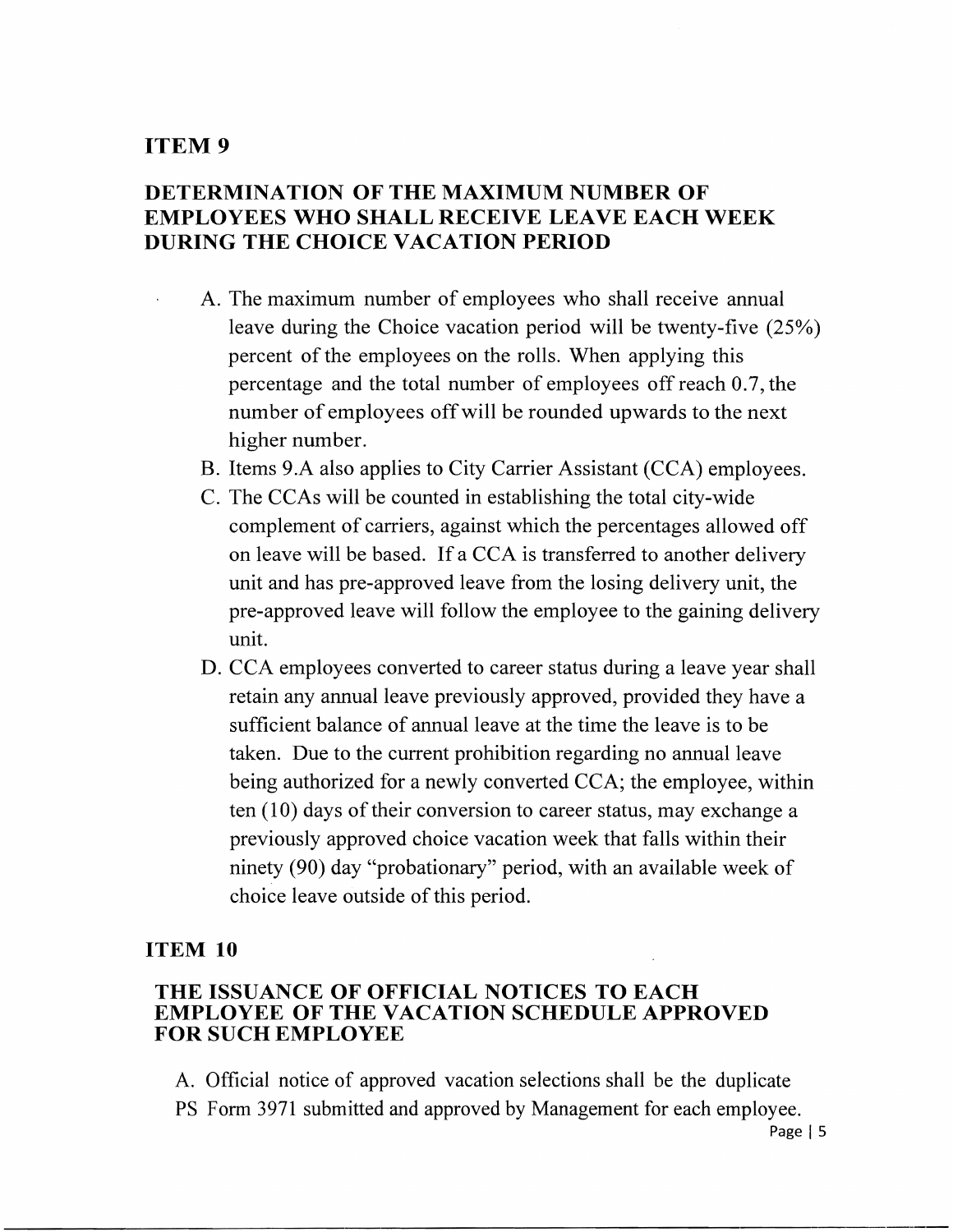## **DETERMINATION OF THE MAXIMUM NUMBER OF EMPLOYEES WHO SHALL RECEIVE LEAVE EACH WEEK DURING THE CHOICE VACATION PERIOD**

- A. The maximum number of employees who shall receive annual leave during the Choice vacation period will be twenty-five (25%) percent of the employees on the rolls. When applying this percentage and the total number of employees off reach 0.7, the number of employees offwill be rounded upwards to the next higher number.
- B. Items 9.A also applies to City Carrier Assistant (CCA) employees.
- C. The CCAs will be counted in establishing the total city-wide complement of carriers, against which the percentages allowed off on leave will be based. If a CCA is transferred to another delivery unit and has pre-approved leave from the losing delivery unit, the pre-approved leave will follow the employee to the gaining delivery unit.
- D. CCA employees converted to career status during a leave year shall retain any annual leave previously approved, provided they have a sufficient balance of annual leave at the time the leave is to be taken. Due to the current prohibition regarding no annual leave being authorized for a newly converted CCA; the employee, within ten (10) days of their conversion to career status, may exchange a previously approved choice vacation week that falls within their ninety (90) day "probationary" period, with an available week of choice leave outside of this period.

#### **ITEM 10**

#### **THE ISSUANCE OF OFFICIAL NOTICES TO EACH EMPLOYEE OF THE VACATION SCHEDULE APPROVED FOR SUCH EMPLOYEE**

A. Official notice of approved vacation selections shall be the duplicate PS Form 3971 submitted and approved by Management for each employee.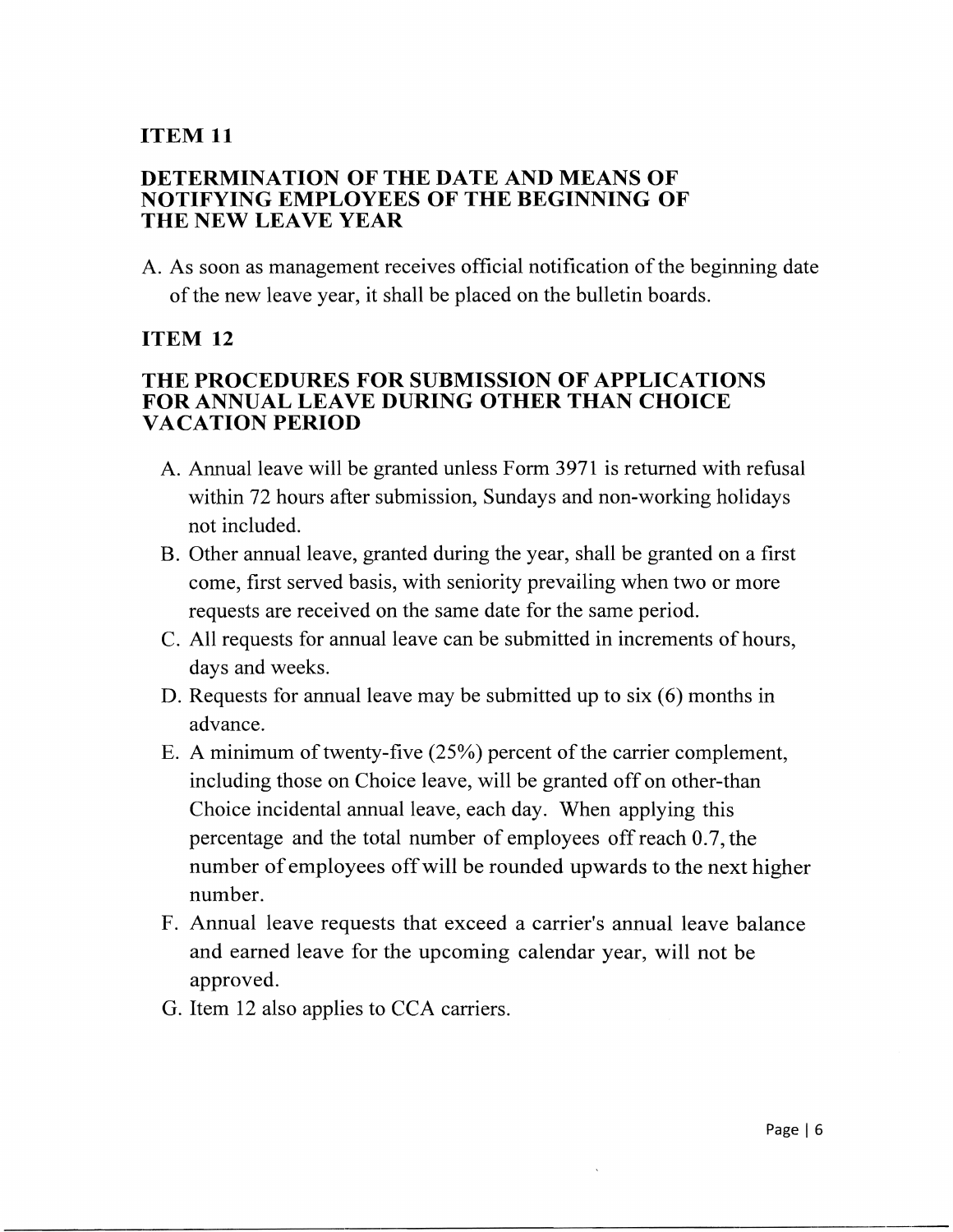#### **DETERMINATION OF THE DATE AND MEANS OF NOTIFYING EMPLOYEES OF THE BEGINNING OF THE NEW LEAVE YEAR**

A. As soon as management receives official notification of the beginning date of the new leave year, it shall be placed on the bulletin boards.

#### **ITEM 12**

### **THE PROCEDURES FOR SUBMISSION OF APPLICATIONS FOR ANNUAL LEAVE DURING OTHER THAN CHOICE VACATION PERIOD**

- A. Annual leave will be granted unless Form 3971 is returned with refusal within 72 hours after submission, Sundays and non-working holidays not included.
- B. Other annual leave, granted during the year, shall be granted on a first come, first served basis, with seniority prevailing when two or more requests are received on the same date for the same period.
- C. All requests for annual leave can be submitted in increments of hours, days and weeks.
- D. Requests for annual leave may be submitted up to six (6) months in advance.
- E. A minimum of twenty-five  $(25%)$  percent of the carrier complement, including those on Choice leave, will be granted off on other-than Choice incidental annual leave, each day. When applying this percentage and the total number of employees off reach 0.7, the number of employees offwill be rounded upwards to the next higher number.
- F. Annual leave requests that exceed a carrier's annual leave balance and earned leave for the upcoming calendar year, will not be approved.
- G. Item 12 also applies to CCA carriers.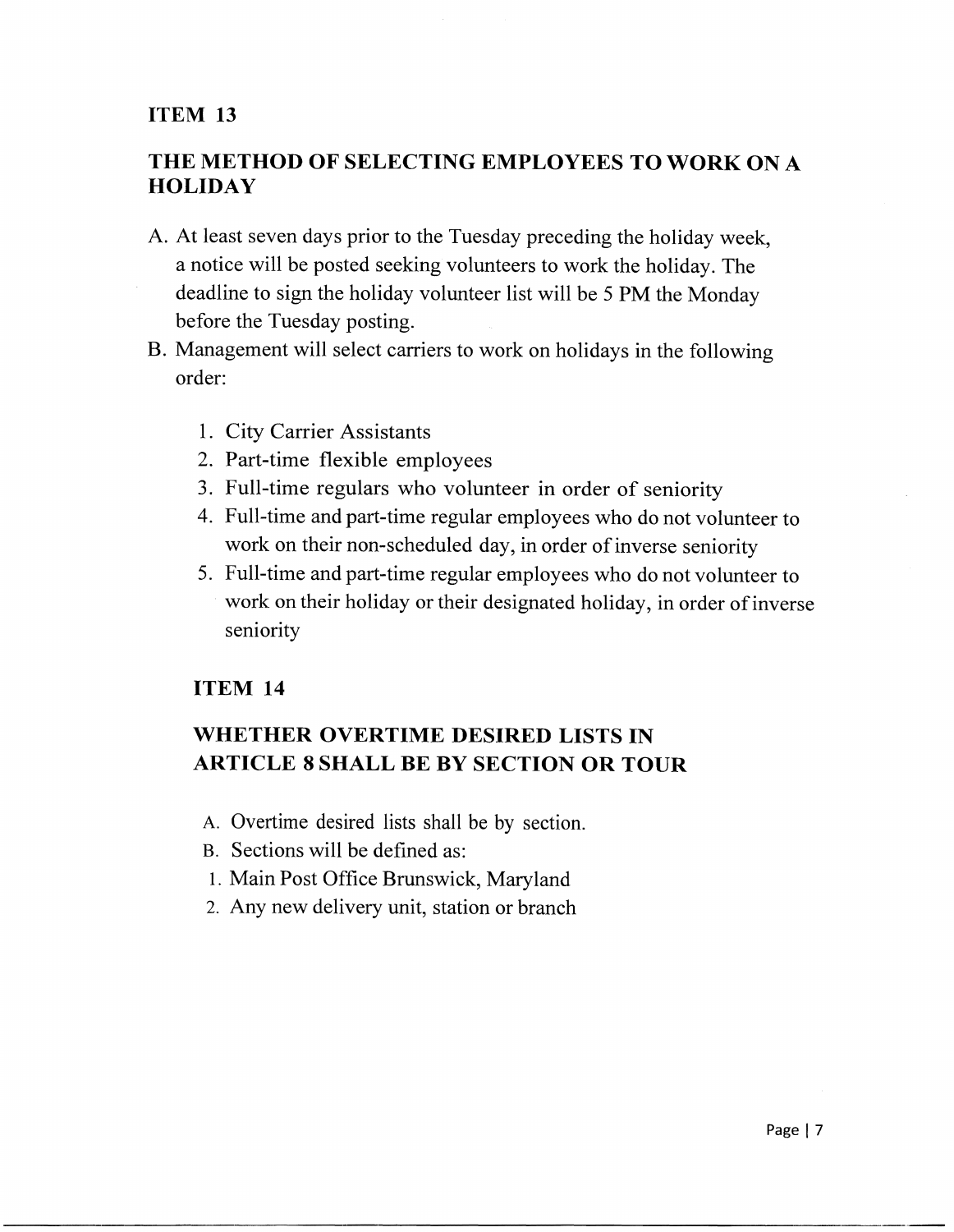## **THE METHOD OF SELECTING EMPLOYEES TO WORK ON** A **HOLIDAY**

- A. At least seven days prior to the Tuesday preceding the holiday week, a notice will be posted seeking volunteers to work the holiday. The deadline to sign the holiday volunteer list will be 5 PM the Monday before the Tuesday posting.
- B. Management will select carriers to work on holidays in the following order:
	- 1. City Carrier Assistants
	- 2. Part-time flexible employees
	- 3. Full-time regulars who volunteer in order of seniority
	- 4. Full-time and part-time regular employees who do not volunteer to work on their non-scheduled day, in order of inverse seniority
	- 5. Full-time and part-time regular employees who do not volunteer to work on their holiday or their designated holiday, in order of inverse seniority

### **ITEM 14**

# **WHETHER OVERTIME DESIRED LISTS IN ARTICLE 8 SHALL BE BY SECTION OR TOUR**

- A. Overtime desired lists shall be by section.
- B. Sections will be defined as:
- 1. Main Post Office Brunswick, Maryland
- 2. Any new delivery unit, station or branch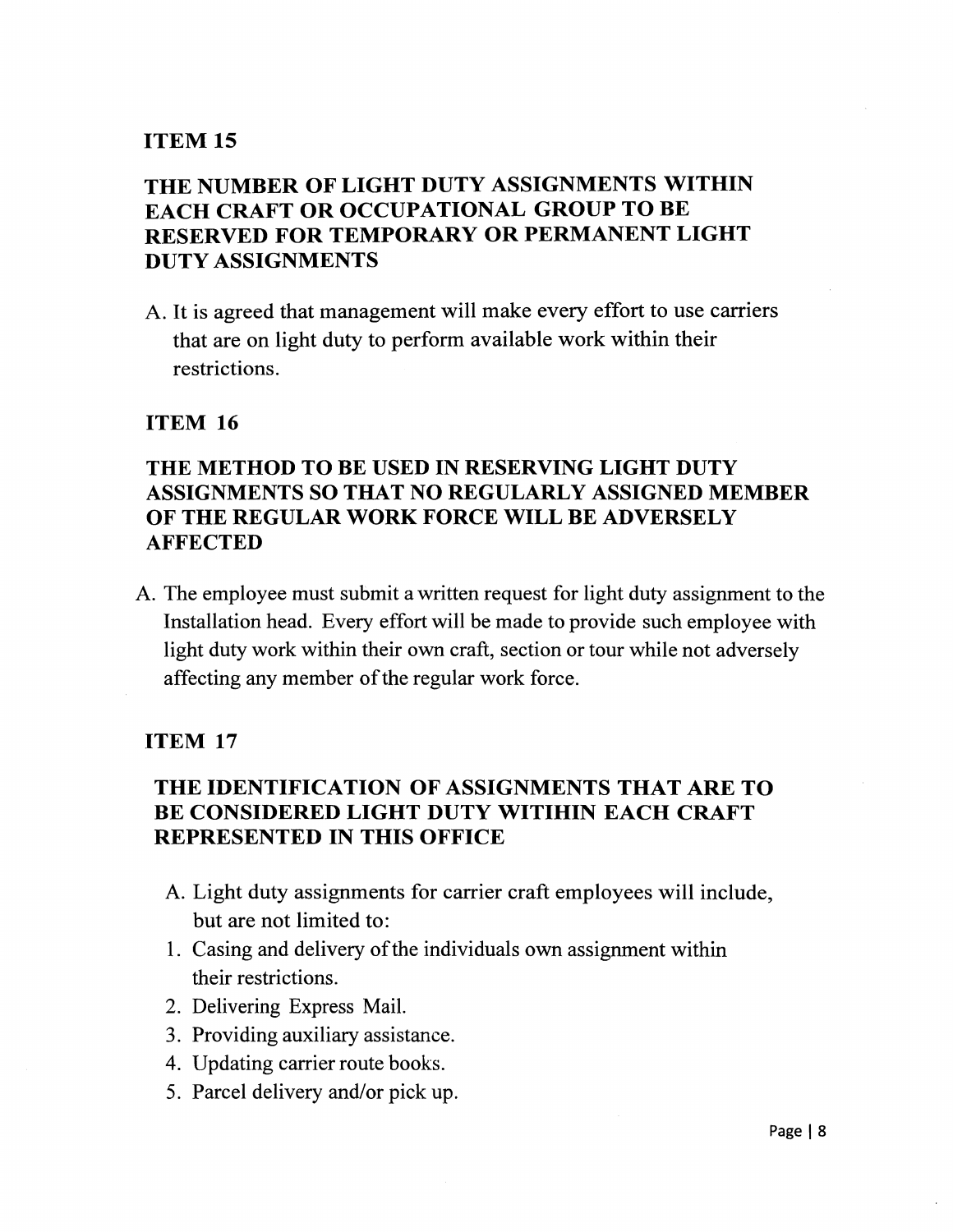# **THE NUMBER OF LIGHT DUTY ASSIGNMENTS WITHIN EACH CRAFT OR OCCUPATIONAL GROUP TO BE RESERVED FOR TEMPORARY OR PERMANENT LIGHT DUTY ASSIGNMENTS**

A. It is agreed that management will make every effort to use carriers that are on light duty to perform available work within their restrictions.

### **ITEM 16**

## **THE METHOD TO BE USED IN RESERVING LIGHT DUTY ASSIGNMENTS SO THAT NO REGULARLY ASSIGNED MEMBER OF THE REGULAR WORK FORCE WILL BE ADVERSELY AFFECTED**

A. The employee must submit a written request for light duty assignment to the Installation head. Every effort will be made to provide such employee with light duty work within their own craft, section or tour while not adversely affecting any member of the regular work force.

#### **ITEM 17**

## **THE IDENTIFICATION OF ASSIGNMENTS THAT ARE TO BE CONSIDERED LIGHT DUTY WITIHIN EACH CRAFT REPRESENTED IN THIS OFFICE**

- A. Light duty assignments for carrier craft employees will include, but are not limited to:
- 1. Casing and delivery of the individuals own assignment within their restrictions.
- 2. Delivering Express Mail.
- 3. Providing auxiliary assistance.
- 4. Updating carrier route books.
- 5. Parcel delivery and/or pick up.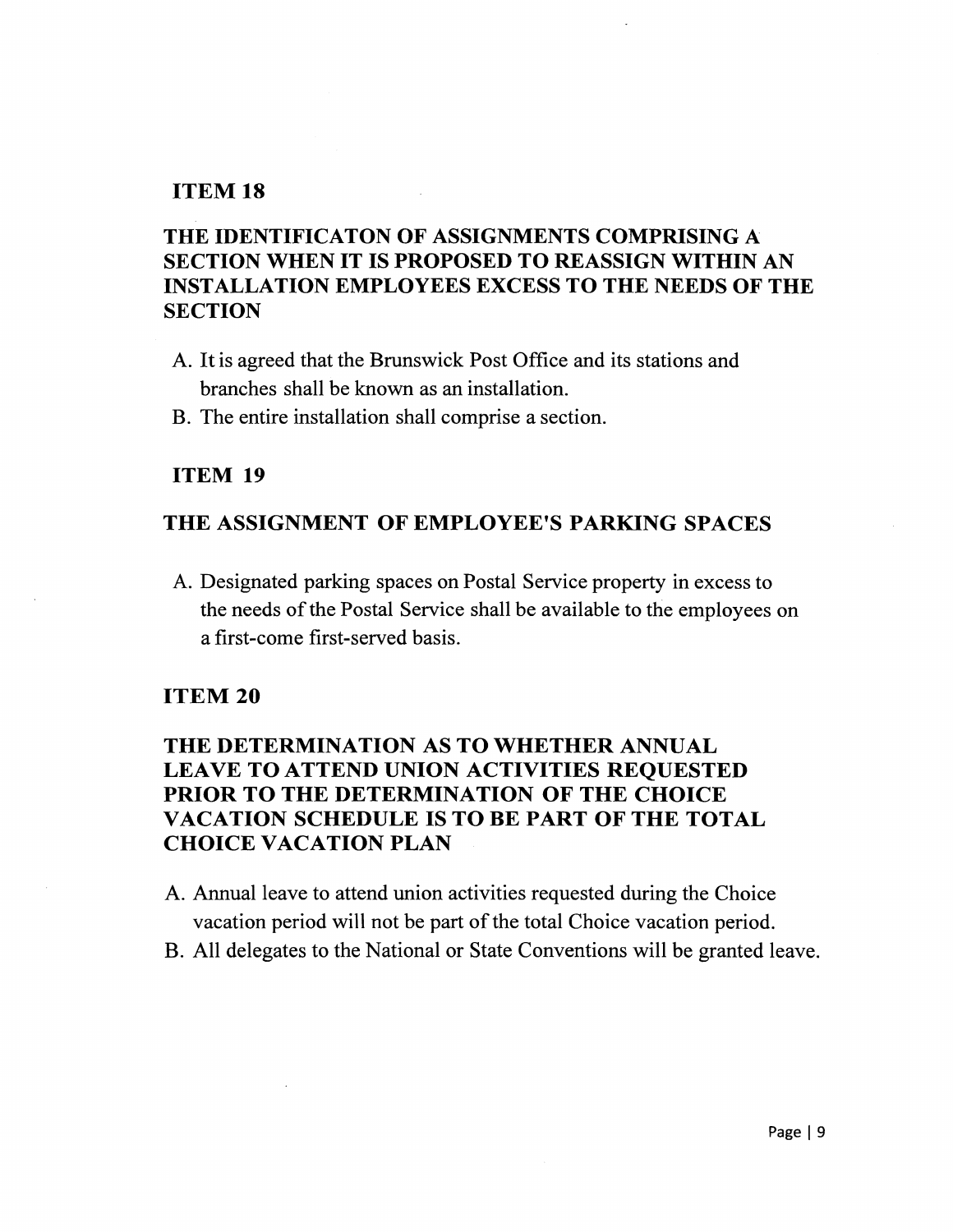# THE IDENTIFICATON OF ASSIGNMENTS COMPRISING A SECTION WHEN IT IS PROPOSED TO REASSIGN WITHIN AN INSTALLATION EMPLOYEES EXCESS TO THE NEEDS OF THE **SECTION**

- A. It is agreed that the Brunswick Post Office and its stations and branches shall be known as an installation.
- B. The entire installation shall comprise a section.

#### ITEM 19

### THE ASSIGNMENT OF EMPLOYEE'S PARKING SPACES

A. Designated parking spaces on Postal Service property in excess to the needs of the Postal Service shall be available to the employees on a first-come first-served basis.

#### ITEM 20

## THE DETERMINATION AS TO WHETHER ANNUAL LEAVE TO ATTEND UNION ACTIVITIES REQUESTED PRIOR TO THE DETERMINATION OF THE CHOICE VACATION SCHEDULE ISTOBE PART OF THE TOTAL CHOICE VACATION PLAN

- A. Annual leave to attend union activities requested during the Choice vacation period will not be part of the total Choice vacation period.
- B. All delegates to the National or State Conventions will be granted leave.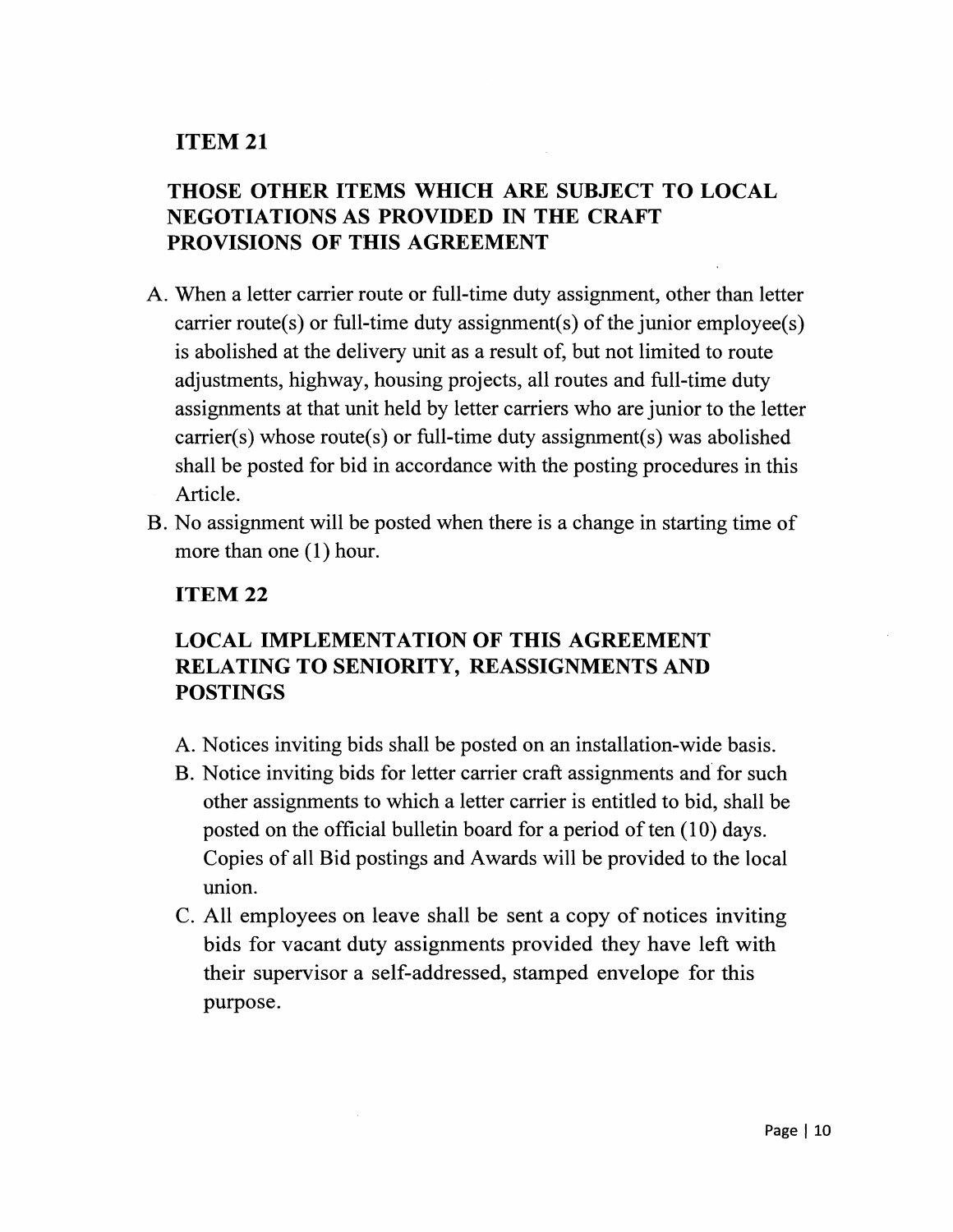# THOSE OTHER ITEMS WHICH ARE SUBJECT TO LOCAL NEGOTIATIONS AS PROVIDED IN THE CRAFT PROVISIONS OF THIS AGREEMENT

- A. When a letter carrier route or full-time duty assignment, other than letter carrier route(s) or full-time duty assignment(s) of the junior employee(s) is abolished at the delivery unit as a result of, but not limited to route adjustments, highway, housing projects, all routes and full-time duty assignments at that unit held by letter carriers who are junior to the letter carrier(s) whose route(s) or full-time duty assignment(s) was abolished shall be posted for bid in accordance with the posting procedures in this Article.
- B. No assignment will be posted when there is a change in starting time of more than one (1) hour.

## ITEM 22

# LOCAL IMPLEMENTATION OF THIS AGREEMENT RELATING TO SENIORITY, REASSIGNMENTS AND POSTINGS

- A. Notices inviting bids shall be posted on an installation-wide basis.
- B. Notice inviting bids for letter carrier craft assignments and for such other assignments to which a letter carrier is entitled to bid, shall be posted on the official bulletin board for a period of ten  $(10)$  days. Copies of all Bid postings and Awards will be provided to the local union.
- C. All employees on leave shall be sent a copy of notices inviting bids for vacant duty assignments provided they have left with their supervisor a self-addressed, stamped envelope for this purpose.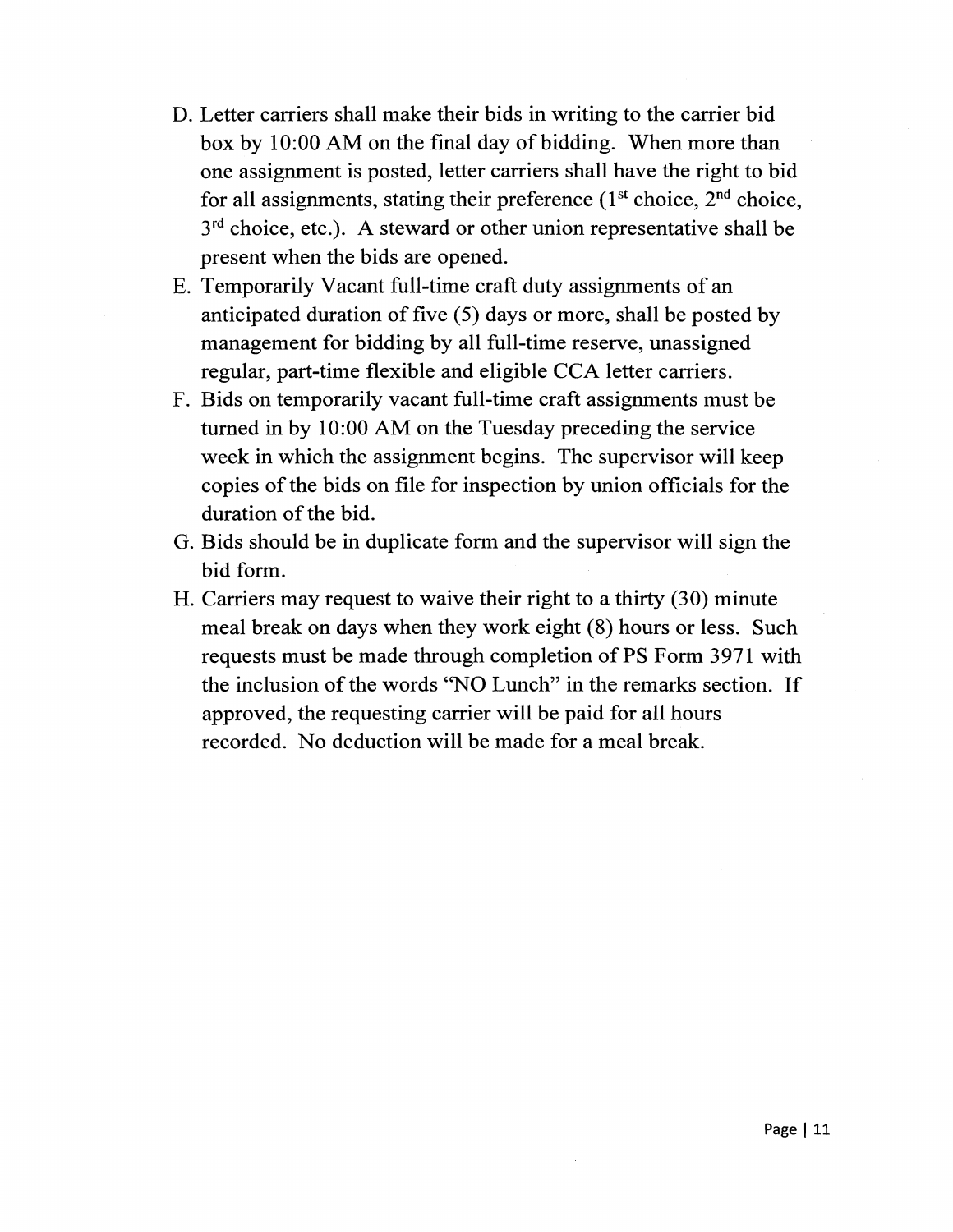- D. Letter carriers shall make their bids in writing to the carrier bid box by 10:00 AM on the final day of bidding. When more than one assignment is posted, letter carriers shall have the right to bid for all assignments, stating their preference  $(1<sup>st</sup> choice, 2<sup>nd</sup> choice,$ 3<sup>rd</sup> choice, etc.). A steward or other union representative shall be present when the bids are opened.
- E. Temporarily Vacant full-time craft duty assignments of an anticipated duration of five  $(5)$  days or more, shall be posted by management for bidding by all full-time reserve, unassigned regular, part-time flexible and eligible CCA letter carriers.
- F. Bids on temporarily vacant full-time craft assignments must be turned in by 10:00 AM on the Tuesday preceding the service week in which the assignment begins. The supervisor will keep copies of the bids on file for inspection by union officials for the duration of the bid.
- G. Bids should be in duplicate form and the supervisor will sign the bid form.
- H. Carriers may request to waive their right to a thirty (30) minute meal break on days when they work eight (8) hours or less. Such requests must be made through completion of PS Form 3971 with the inclusion of the words "NO Lunch" in the remarks section. If approved, the requesting carrier will be paid for all hours recorded. No deduction will be made for a meal break.